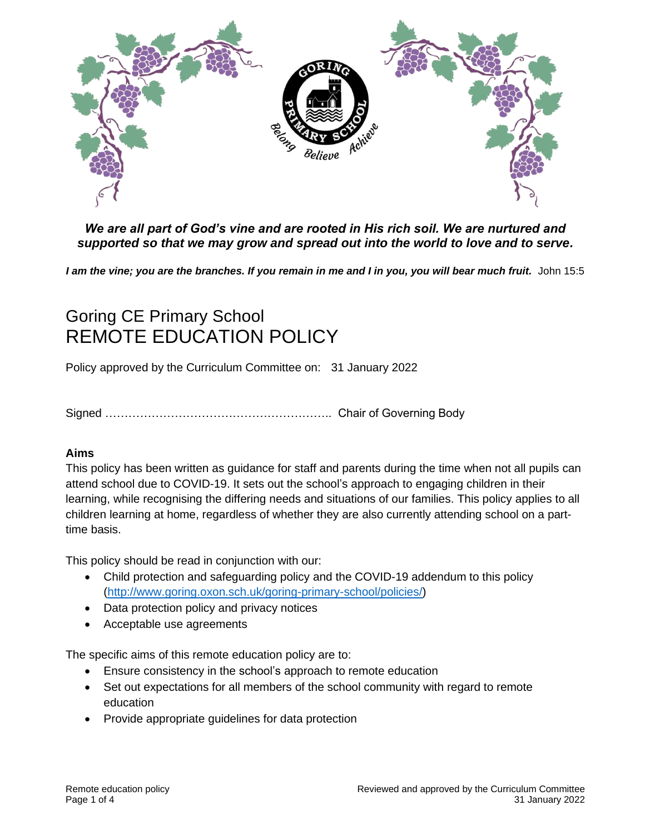

## *We are all part of God's vine and are rooted in His rich soil. We are nurtured and supported so that we may grow and spread out into the world to love and to serve.*

I am the vine; you are the branches. If you remain in me and I in you, you will bear much fruit. John 15:5

# Goring CE Primary School REMOTE EDUCATION POLICY

Policy approved by the Curriculum Committee on: 31 January 2022

Signed ………………………………………………….. Chair of Governing Body

## **Aims**

This policy has been written as guidance for staff and parents during the time when not all pupils can attend school due to COVID-19. It sets out the school's approach to engaging children in their learning, while recognising the differing needs and situations of our families. This policy applies to all children learning at home, regardless of whether they are also currently attending school on a parttime basis.

This policy should be read in conjunction with our:

- Child protection and safeguarding policy and the COVID-19 addendum to this policy [\(http://www.goring.oxon.sch.uk/goring-primary-school/policies/\)](http://www.goring.oxon.sch.uk/goring-primary-school/policies/)
- Data protection policy and privacy notices
- Acceptable use agreements

The specific aims of this remote education policy are to:

- Ensure consistency in the school's approach to remote education
- Set out expectations for all members of the school community with regard to remote education
- Provide appropriate guidelines for data protection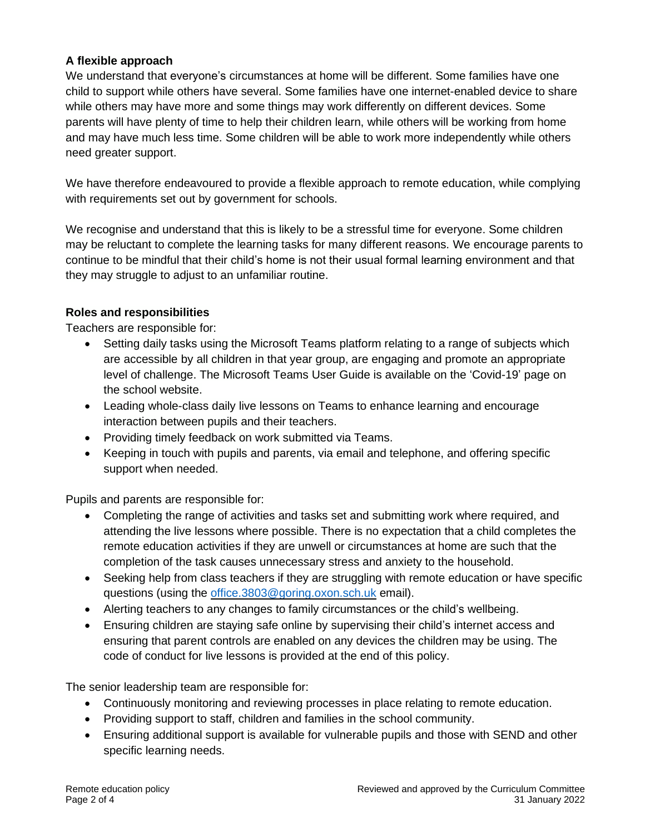## **A flexible approach**

We understand that everyone's circumstances at home will be different. Some families have one child to support while others have several. Some families have one internet-enabled device to share while others may have more and some things may work differently on different devices. Some parents will have plenty of time to help their children learn, while others will be working from home and may have much less time. Some children will be able to work more independently while others need greater support.

We have therefore endeavoured to provide a flexible approach to remote education, while complying with requirements set out by government for schools.

We recognise and understand that this is likely to be a stressful time for everyone. Some children may be reluctant to complete the learning tasks for many different reasons. We encourage parents to continue to be mindful that their child's home is not their usual formal learning environment and that they may struggle to adjust to an unfamiliar routine.

## **Roles and responsibilities**

Teachers are responsible for:

- Setting daily tasks using the Microsoft Teams platform relating to a range of subjects which are accessible by all children in that year group, are engaging and promote an appropriate level of challenge. The Microsoft Teams User Guide is available on the 'Covid-19' page on the school website.
- Leading whole-class daily live lessons on Teams to enhance learning and encourage interaction between pupils and their teachers.
- Providing timely feedback on work submitted via Teams.
- Keeping in touch with pupils and parents, via email and telephone, and offering specific support when needed.

Pupils and parents are responsible for:

- Completing the range of activities and tasks set and submitting work where required, and attending the live lessons where possible. There is no expectation that a child completes the remote education activities if they are unwell or circumstances at home are such that the completion of the task causes unnecessary stress and anxiety to the household.
- Seeking help from class teachers if they are struggling with remote education or have specific questions (using the [office.3803@goring.oxon.sch.uk](mailto:office.3803@goring.oxon.sch.uk) email).
- Alerting teachers to any changes to family circumstances or the child's wellbeing.
- Ensuring children are staying safe online by supervising their child's internet access and ensuring that parent controls are enabled on any devices the children may be using. The code of conduct for live lessons is provided at the end of this policy.

The senior leadership team are responsible for:

- Continuously monitoring and reviewing processes in place relating to remote education.
- Providing support to staff, children and families in the school community.
- Ensuring additional support is available for vulnerable pupils and those with SEND and other specific learning needs.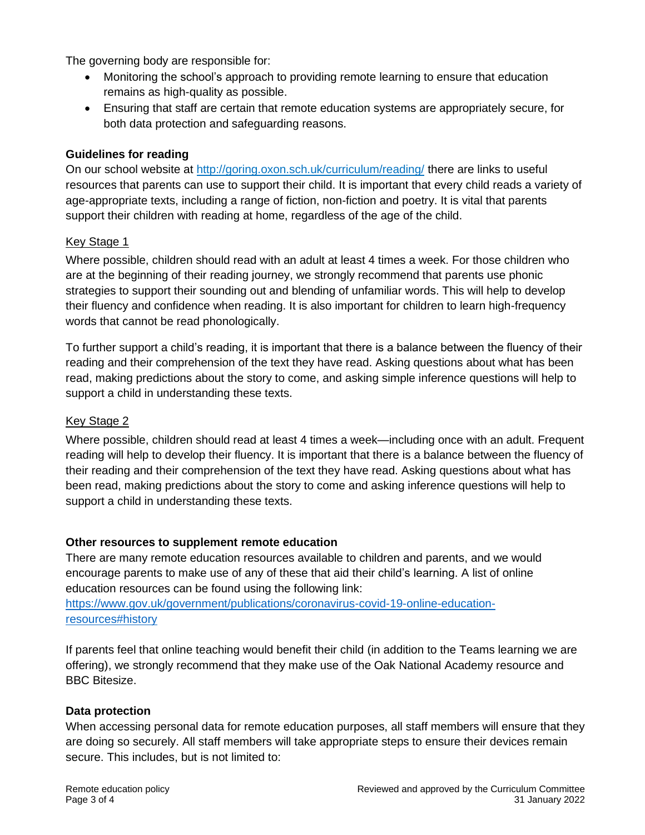The governing body are responsible for:

- Monitoring the school's approach to providing remote learning to ensure that education remains as high-quality as possible.
- Ensuring that staff are certain that remote education systems are appropriately secure, for both data protection and safeguarding reasons.

### **Guidelines for reading**

On our school website at <http://goring.oxon.sch.uk/curriculum/reading/> there are links to useful resources that parents can use to support their child. It is important that every child reads a variety of age-appropriate texts, including a range of fiction, non-fiction and poetry. It is vital that parents support their children with reading at home, regardless of the age of the child.

#### Key Stage 1

Where possible, children should read with an adult at least 4 times a week. For those children who are at the beginning of their reading journey, we strongly recommend that parents use phonic strategies to support their sounding out and blending of unfamiliar words. This will help to develop their fluency and confidence when reading. It is also important for children to learn high-frequency words that cannot be read phonologically.

To further support a child's reading, it is important that there is a balance between the fluency of their reading and their comprehension of the text they have read. Asking questions about what has been read, making predictions about the story to come, and asking simple inference questions will help to support a child in understanding these texts.

#### Key Stage 2

Where possible, children should read at least 4 times a week—including once with an adult. Frequent reading will help to develop their fluency. It is important that there is a balance between the fluency of their reading and their comprehension of the text they have read. Asking questions about what has been read, making predictions about the story to come and asking inference questions will help to support a child in understanding these texts.

#### **Other resources to supplement remote education**

There are many remote education resources available to children and parents, and we would encourage parents to make use of any of these that aid their child's learning. A list of online education resources can be found using the following link:

[https://www.gov.uk/government/publications/coronavirus-covid-19-online-education](https://www.gov.uk/government/publications/coronavirus-covid-19-online-education-resources#history)[resources#history](https://www.gov.uk/government/publications/coronavirus-covid-19-online-education-resources#history)

If parents feel that online teaching would benefit their child (in addition to the Teams learning we are offering), we strongly recommend that they make use of the Oak National Academy resource and BBC Bitesize.

#### **Data protection**

When accessing personal data for remote education purposes, all staff members will ensure that they are doing so securely. All staff members will take appropriate steps to ensure their devices remain secure. This includes, but is not limited to: